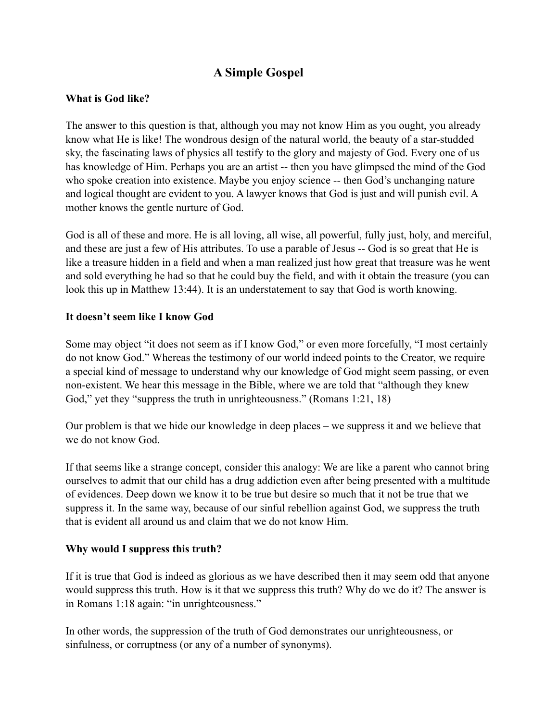# **A Simple Gospel**

## **What is God like?**

The answer to this question is that, although you may not know Him as you ought, you already know what He is like! The wondrous design of the natural world, the beauty of a star-studded sky, the fascinating laws of physics all testify to the glory and majesty of God. Every one of us has knowledge of Him. Perhaps you are an artist -- then you have glimpsed the mind of the God who spoke creation into existence. Maybe you enjoy science -- then God's unchanging nature and logical thought are evident to you. A lawyer knows that God is just and will punish evil. A mother knows the gentle nurture of God.

God is all of these and more. He is all loving, all wise, all powerful, fully just, holy, and merciful, and these are just a few of His attributes. To use a parable of Jesus -- God is so great that He is like a treasure hidden in a field and when a man realized just how great that treasure was he went and sold everything he had so that he could buy the field, and with it obtain the treasure (you can look this up in Matthew 13:44). It is an understatement to say that God is worth knowing.

#### **It doesn't seem like I know God**

Some may object "it does not seem as if I know God," or even more forcefully, "I most certainly do not know God." Whereas the testimony of our world indeed points to the Creator, we require a special kind of message to understand why our knowledge of God might seem passing, or even non-existent. We hear this message in the Bible, where we are told that "although they knew God," yet they "suppress the truth in unrighteousness." (Romans 1:21, 18)

Our problem is that we hide our knowledge in deep places – we suppress it and we believe that we do not know God.

If that seems like a strange concept, consider this analogy: We are like a parent who cannot bring ourselves to admit that our child has a drug addiction even after being presented with a multitude of evidences. Deep down we know it to be true but desire so much that it not be true that we suppress it. In the same way, because of our sinful rebellion against God, we suppress the truth that is evident all around us and claim that we do not know Him.

# **Why would I suppress this truth?**

If it is true that God is indeed as glorious as we have described then it may seem odd that anyone would suppress this truth. How is it that we suppress this truth? Why do we do it? The answer is in Romans 1:18 again: "in unrighteousness."

In other words, the suppression of the truth of God demonstrates our unrighteousness, or sinfulness, or corruptness (or any of a number of synonyms).